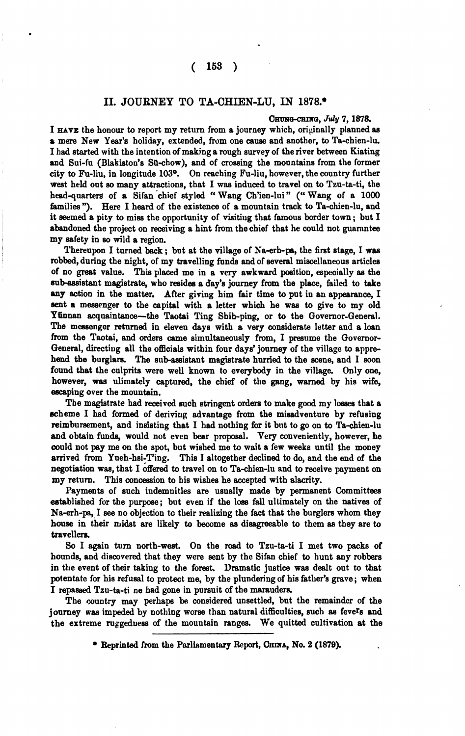## **11.** JOURNEY TO TA-CHIEN-LU, IN **1878..**

## **Om-0, July 7,1878.**

I **HAVE** the honour to report my return from a journey which, originally planned **ee**  *r* mere New Year's holiday, extended, from one **cauee** and another, to Ta-chien-lu. I had started with the intention of making a rough survey of the river between Kiating and Sui-fu (Blakiston's Sü-chow), and of crossing the mountains from the former city to Fu-liu, in longitude **103O.** On reaching Fu-liu, however, the country further weat held out **so** many attractions, that I was induced to travel on to Tzu-ta-ti, the head-quarters of a Sifan chief styled " Wang Ch'ien-lui" (" Wang of a 1000 families "). Here I heard of the existence of a mountain track to Ta-chien-lu, and it seemed a pity to miss the opportunity of visiting that famous border town; but I abandoned the project on receiving a hint from thechief that he could not guarantee my safety in **so** wild a region.

Thereupon I turned back ; but at the village of Na-erh-pa, the first stage, I **wee**  robbed, during the night, of my travelling funds and of several miscellaneous articlee of no **pat** value. This placed me in a very awkward position, especially **ee** he sub-assistant magistrate, who resides a day's journey from the place, failed to take **my** sction in the matter. After giving him fair time to put in an appearance, I sent a messenger to the capital with a letter which he was to give to my old Yünnan acquaintance-the Taotai Ting Shih-ping, or to the Governor-General. The messenger returned in eleven days with a very considerate letter and a loan from the Taotai, and orders came simultaneously from, I presume the Governor-General, directiug all the offioials within four days' journey of the village to apprehend the burglars. The sub-assistant magistrate hurried to the scene, and I soon found that the cnlprits were well known to everybody in the village. Only one, however, **was** ulimately captured, the chief of the gang, warned by his wife, escaping over the mountain.

The magistrate had received such stringent orders to make good my losses that a scheme I had formed of deriving advantage from the misadventure by refusing reimbursement, and insisting that I had nothing for it but to go on to Ta-chien-lu and obtain funds, would not even bear proposal. Very conveniently, however, he could not pay me on the spot, but wished me to wait a few weeks until the money arrived from Yueh-hsi-T'ing. This I altogether declined to do, and the end of the This I altogether declined to do, and the end of the negotiation was, that I offered to travel on to Ta-chien-lu and to receive payment on my return. This concession to his wishes he accepted with alacrity.

Payments of such indemnities are usnally made by permanent Committees established for the purpose; but even if the loss fall ultimately on the natives of Na-erh-pa,.I **eee** no objection to their realizing the fact that the burglers whom they **house** in their midst are likely to become **as** disagreeable to them as they are to travellers.

**So** I again turn north-west,. On the **road** to Tzu-ta-ti I met two packs of hounds, and discovered that they were sent by the Sifan chief to hunt any robbers in the event of their taking to the forest. Dramatic justice was dealt out to that potentate for **his** refusal to protect me, by the plunderingof his father's grave; when I repassed Tzu-ta-ti ne had gone in pursuit of the maraudera

The country may perhaps be considered unsettled, but the remainder of the journey was impeded by nothing worse than natural difficulties, such as feve<sup>r</sup>s and the extreme ruggeduess of the mountain ranges. We quitted cultivation at the

<sup>\*</sup> Reprinted from the Parliamentary Report, CHINA, No. 2 (1879).